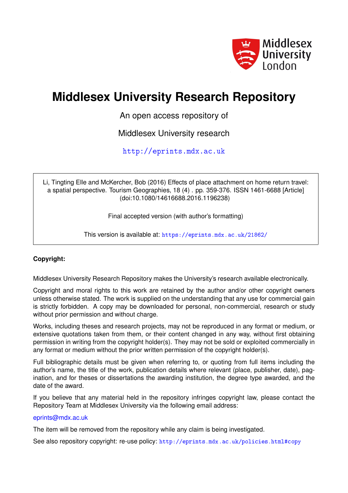

# **Middlesex University Research Repository**

An open access repository of

Middlesex University research

<http://eprints.mdx.ac.uk>

Li, Tingting Elle and McKercher, Bob (2016) Effects of place attachment on home return travel: a spatial perspective. Tourism Geographies, 18 (4) . pp. 359-376. ISSN 1461-6688 [Article] (doi:10.1080/14616688.2016.1196238)

Final accepted version (with author's formatting)

This version is available at: <https://eprints.mdx.ac.uk/21862/>

## **Copyright:**

Middlesex University Research Repository makes the University's research available electronically.

Copyright and moral rights to this work are retained by the author and/or other copyright owners unless otherwise stated. The work is supplied on the understanding that any use for commercial gain is strictly forbidden. A copy may be downloaded for personal, non-commercial, research or study without prior permission and without charge.

Works, including theses and research projects, may not be reproduced in any format or medium, or extensive quotations taken from them, or their content changed in any way, without first obtaining permission in writing from the copyright holder(s). They may not be sold or exploited commercially in any format or medium without the prior written permission of the copyright holder(s).

Full bibliographic details must be given when referring to, or quoting from full items including the author's name, the title of the work, publication details where relevant (place, publisher, date), pagination, and for theses or dissertations the awarding institution, the degree type awarded, and the date of the award.

If you believe that any material held in the repository infringes copyright law, please contact the Repository Team at Middlesex University via the following email address:

#### [eprints@mdx.ac.uk](mailto:eprints@mdx.ac.uk)

The item will be removed from the repository while any claim is being investigated.

See also repository copyright: re-use policy: <http://eprints.mdx.ac.uk/policies.html#copy>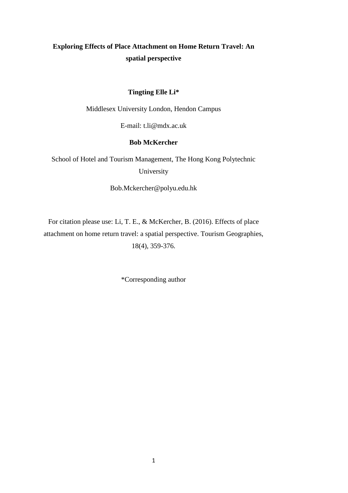# **Exploring Effects of Place Attachment on Home Return Travel: An spatial perspective**

#### **Tingting Elle Li\***

Middlesex University London, Hendon Campus

E-mail: t.li@mdx.ac.uk

### **Bob McKercher**

School of Hotel and Tourism Management, The Hong Kong Polytechnic University

Bob.Mckercher@polyu.edu.hk

For citation please use: Li, T. E., & McKercher, B. (2016). Effects of place attachment on home return travel: a spatial perspective. Tourism Geographies, 18(4), 359-376.

\*Corresponding author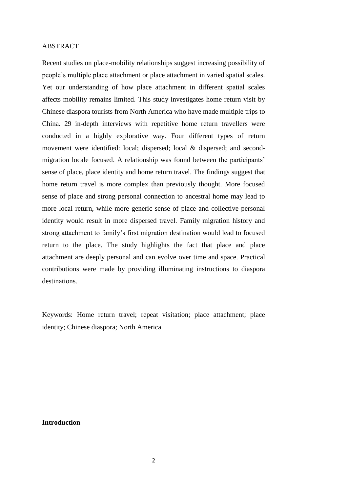#### ABSTRACT

Recent studies on place-mobility relationships suggest increasing possibility of people's multiple place attachment or place attachment in varied spatial scales. Yet our understanding of how place attachment in different spatial scales affects mobility remains limited. This study investigates home return visit by Chinese diaspora tourists from North America who have made multiple trips to China. 29 in-depth interviews with repetitive home return travellers were conducted in a highly explorative way. Four different types of return movement were identified: local; dispersed; local & dispersed; and secondmigration locale focused. A relationship was found between the participants' sense of place, place identity and home return travel. The findings suggest that home return travel is more complex than previously thought. More focused sense of place and strong personal connection to ancestral home may lead to more local return, while more generic sense of place and collective personal identity would result in more dispersed travel. Family migration history and strong attachment to family's first migration destination would lead to focused return to the place. The study highlights the fact that place and place attachment are deeply personal and can evolve over time and space. Practical contributions were made by providing illuminating instructions to diaspora destinations.

Keywords: Home return travel; repeat visitation; place attachment; place identity; Chinese diaspora; North America

**Introduction**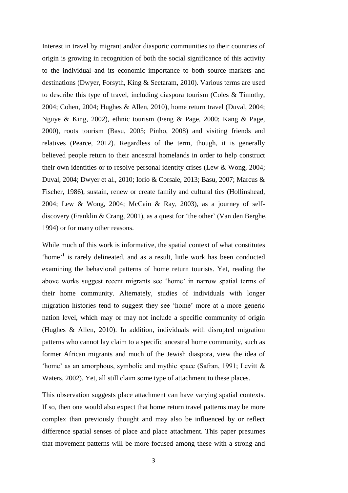Interest in travel by migrant and/or diasporic communities to their countries of origin is growing in recognition of both the social significance of this activity to the individual and its economic importance to both source markets and destinations (Dwyer, Forsyth, King & Seetaram, 2010). Various terms are used to describe this type of travel, including diaspora tourism (Coles & Timothy, 2004; Cohen, 2004; Hughes & Allen, 2010), home return travel (Duval, 2004; Nguye & King, 2002), ethnic tourism (Feng & Page, 2000; Kang & Page, 2000), roots tourism (Basu, 2005; Pinho, 2008) and visiting friends and relatives (Pearce, 2012). Regardless of the term, though, it is generally believed people return to their ancestral homelands in order to help construct their own identities or to resolve personal identity crises (Lew & Wong, 2004; Duval, 2004; Dwyer et al., 2010; Iorio & Corsale, 2013; Basu, 2007; Marcus & Fischer, 1986), sustain, renew or create family and cultural ties (Hollinshead, 2004; Lew & Wong, 2004; McCain & Ray, 2003), as a journey of selfdiscovery (Franklin & Crang, 2001), as a quest for 'the other' (Van den Berghe, 1994) or for many other reasons.

While much of this work is informative, the spatial context of what constitutes 'home'<sup>1</sup> is rarely delineated, and as a result, little work has been conducted examining the behavioral patterns of home return tourists. Yet, reading the above works suggest recent migrants see 'home' in narrow spatial terms of their home community. Alternately, studies of individuals with longer migration histories tend to suggest they see 'home' more at a more generic nation level, which may or may not include a specific community of origin (Hughes & Allen, 2010). In addition, individuals with disrupted migration patterns who cannot lay claim to a specific ancestral home community, such as former African migrants and much of the Jewish diaspora, view the idea of 'home' as an amorphous, symbolic and mythic space (Safran, 1991; Levitt & Waters, 2002). Yet, all still claim some type of attachment to these places.

This observation suggests place attachment can have varying spatial contexts. If so, then one would also expect that home return travel patterns may be more complex than previously thought and may also be influenced by or reflect difference spatial senses of place and place attachment. This paper presumes that movement patterns will be more focused among these with a strong and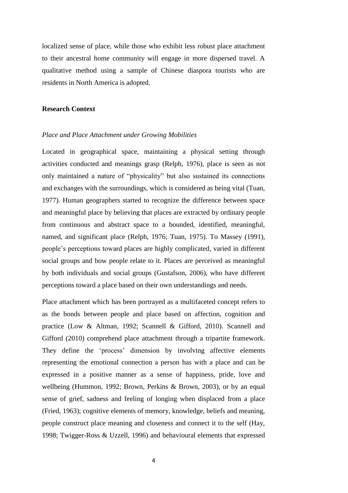localized sense of place, while those who exhibit less robust place attachment to their ancestral home community will engage in more dispersed travel. A qualitative method using a sample of Chinese diaspora tourists who are residents in North America is adopted.

#### **Research Context**

#### *Place and Place Attachment under Growing Mobilities*

Located in geographical space, maintaining a physical setting through activities conducted and meanings grasp (Relph, 1976), place is seen as not only maintained a nature of "physicality" but also sustained its connections and exchanges with the surroundings, which is considered as being vital (Tuan, 1977). Human geographers started to recognize the difference between space and meaningful place by believing that places are extracted by ordinary people from continuous and abstract space to a bounded, identified, meaningful, named, and significant place (Relph, 1976; Tuan, 1975). To Massey (1991), people's perceptions toward places are highly complicated, varied in different social groups and how people relate to it. Places are perceived as meaningful by both individuals and social groups (Gustafson, 2006), who have different perceptions toward a place based on their own understandings and needs.

Place attachment which has been portrayed as a multifaceted concept refers to as the bonds between people and place based on affection, cognition and practice (Low & Altman, 1992; Scannell & Gifford, 2010). Scannell and Gifford (2010) comprehend place attachment through a tripartite framework. They define the 'process' dimension by involving affective elements representing the emotional connection a person has with a place and can be expressed in a positive manner as a sense of happiness, pride, love and wellbeing (Hummon, 1992; Brown, Perkins & Brown, 2003), or by an equal sense of grief, sadness and feeling of longing when displaced from a place (Fried, 1963); cognitive elements of memory, knowledge, beliefs and meaning, people construct place meaning and closeness and connect it to the self (Hay, 1998; Twigger-Ross & Uzzell, 1996) and behavioural elements that expressed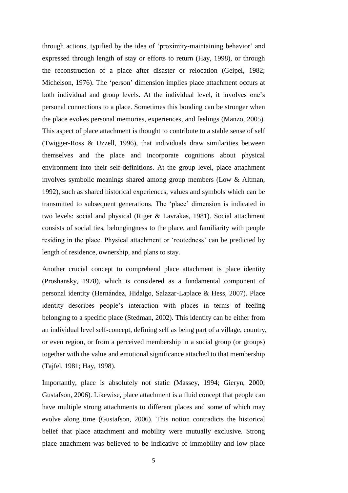through actions, typified by the idea of 'proximity-maintaining behavior' and expressed through length of stay or efforts to return (Hay, 1998), or through the reconstruction of a place after disaster or relocation (Geipel, 1982; Michelson, 1976). The 'person' dimension implies place attachment occurs at both individual and group levels. At the individual level, it involves one's personal connections to a place. Sometimes this bonding can be stronger when the place evokes personal memories, experiences, and feelings (Manzo, 2005). This aspect of place attachment is thought to contribute to a stable sense of self (Twigger-Ross & Uzzell, 1996), that individuals draw similarities between themselves and the place and incorporate cognitions about physical environment into their self-definitions. At the group level, place attachment involves symbolic meanings shared among group members (Low & Altman, 1992), such as shared historical experiences, values and symbols which can be transmitted to subsequent generations. The 'place' dimension is indicated in two levels: social and physical (Riger & Lavrakas, 1981). Social attachment consists of social ties, belongingness to the place, and familiarity with people residing in the place. Physical attachment or 'rootedness' can be predicted by length of residence, ownership, and plans to stay.

Another crucial concept to comprehend place attachment is place identity (Proshansky, 1978), which is considered as a fundamental component of personal identity (Hernández, Hidalgo, Salazar-Laplace & Hess, 2007). Place identity describes people's interaction with places in terms of feeling belonging to a specific place (Stedman, 2002). This identity can be either from an individual level self-concept, defining self as being part of a village, country, or even region, or from a perceived membership in a social group (or groups) together with the value and emotional significance attached to that membership (Tajfel, 1981; Hay, 1998).

Importantly, place is absolutely not static (Massey, 1994; Gieryn, 2000; Gustafson, 2006). Likewise, place attachment is a fluid concept that people can have multiple strong attachments to different places and some of which may evolve along time (Gustafson, 2006). This notion contradicts the historical belief that place attachment and mobility were mutually exclusive. Strong place attachment was believed to be indicative of immobility and low place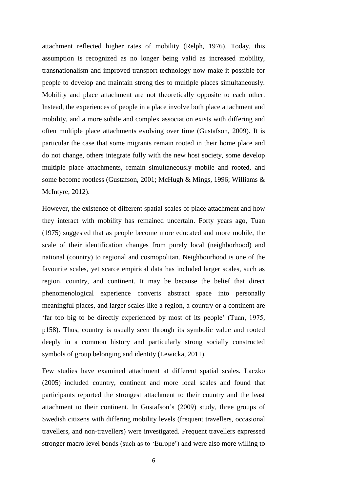attachment reflected higher rates of mobility (Relph, 1976). Today, this assumption is recognized as no longer being valid as increased mobility, transnationalism and improved transport technology now make it possible for people to develop and maintain strong ties to multiple places simultaneously. Mobility and place attachment are not theoretically opposite to each other. Instead, the experiences of people in a place involve both place attachment and mobility, and a more subtle and complex association exists with differing and often multiple place attachments evolving over time (Gustafson, 2009). It is particular the case that some migrants remain rooted in their home place and do not change, others integrate fully with the new host society, some develop multiple place attachments, remain simultaneously mobile and rooted, and some become rootless (Gustafson, 2001; McHugh & Mings, 1996; Williams & McIntyre, 2012).

However, the existence of different spatial scales of place attachment and how they interact with mobility has remained uncertain. Forty years ago, Tuan (1975) suggested that as people become more educated and more mobile, the scale of their identification changes from purely local (neighborhood) and national (country) to regional and cosmopolitan. Neighbourhood is one of the favourite scales, yet scarce empirical data has included larger scales, such as region, country, and continent. It may be because the belief that direct phenomenological experience converts abstract space into personally meaningful places, and larger scales like a region, a country or a continent are 'far too big to be directly experienced by most of its people' (Tuan, 1975, p158). Thus, country is usually seen through its symbolic value and rooted deeply in a common history and particularly strong socially constructed symbols of group belonging and identity (Lewicka, 2011).

Few studies have examined attachment at different spatial scales. Laczko (2005) included country, continent and more local scales and found that participants reported the strongest attachment to their country and the least attachment to their continent. In Gustafson's (2009) study, three groups of Swedish citizens with differing mobility levels (frequent travellers, occasional travellers, and non-travellers) were investigated. Frequent travellers expressed stronger macro level bonds (such as to 'Europe') and were also more willing to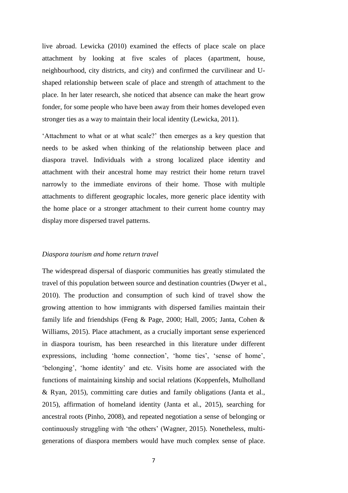live abroad. Lewicka (2010) examined the effects of place scale on place attachment by looking at five scales of places (apartment, house, neighbourhood, city districts, and city) and confirmed the curvilinear and Ushaped relationship between scale of place and strength of attachment to the place. In her later research, she noticed that absence can make the heart grow fonder, for some people who have been away from their homes developed even stronger ties as a way to maintain their local identity (Lewicka, 2011).

'Attachment to what or at what scale?' then emerges as a key question that needs to be asked when thinking of the relationship between place and diaspora travel. Individuals with a strong localized place identity and attachment with their ancestral home may restrict their home return travel narrowly to the immediate environs of their home. Those with multiple attachments to different geographic locales, more generic place identity with the home place or a stronger attachment to their current home country may display more dispersed travel patterns.

#### *Diaspora tourism and home return travel*

The widespread dispersal of diasporic communities has greatly stimulated the travel of this population between source and destination countries (Dwyer et al., 2010). The production and consumption of such kind of travel show the growing attention to how immigrants with dispersed families maintain their family life and friendships (Feng & Page, 2000; Hall, 2005; Janta, Cohen & Williams, 2015). Place attachment, as a crucially important sense experienced in diaspora tourism, has been researched in this literature under different expressions, including 'home connection', 'home ties', 'sense of home', 'belonging', 'home identity' and etc. Visits home are associated with the functions of maintaining kinship and social relations (Koppenfels, Mulholland & Ryan, 2015), committing care duties and family obligations (Janta et al., 2015), affirmation of homeland identity (Janta et al., 2015), searching for ancestral roots (Pinho, 2008), and repeated negotiation a sense of belonging or continuously struggling with 'the others' (Wagner, 2015). Nonetheless, multigenerations of diaspora members would have much complex sense of place.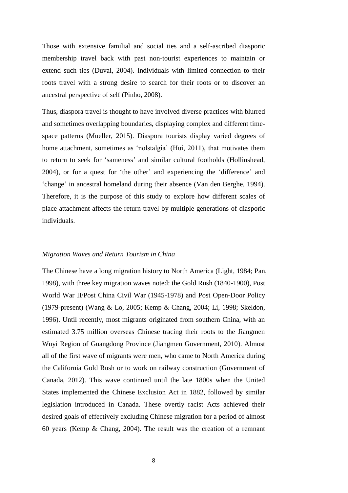Those with extensive familial and social ties and a self-ascribed diasporic membership travel back with past non-tourist experiences to maintain or extend such ties (Duval, 2004). Individuals with limited connection to their roots travel with a strong desire to search for their roots or to discover an ancestral perspective of self (Pinho, 2008).

Thus, diaspora travel is thought to have involved diverse practices with blurred and sometimes overlapping boundaries, displaying complex and different timespace patterns (Mueller, 2015). Diaspora tourists display varied degrees of home attachment, sometimes as 'nolstalgia' (Hui, 2011), that motivates them to return to seek for 'sameness' and similar cultural footholds (Hollinshead, 2004), or for a quest for 'the other' and experiencing the 'difference' and 'change' in ancestral homeland during their absence (Van den Berghe, 1994). Therefore, it is the purpose of this study to explore how different scales of place attachment affects the return travel by multiple generations of diasporic individuals.

#### *Migration Waves and Return Tourism in China*

The Chinese have a long migration history to North America (Light, 1984; Pan, 1998), with three key migration waves noted: the Gold Rush (1840-1900), Post World War II/Post China Civil War (1945-1978) and Post Open-Door Policy (1979-present) (Wang & Lo, 2005; Kemp & Chang, 2004; Li, 1998; Skeldon, 1996). Until recently, most migrants originated from southern China, with an estimated 3.75 million overseas Chinese tracing their roots to the Jiangmen Wuyi Region of Guangdong Province (Jiangmen Government, 2010). Almost all of the first wave of migrants were men, who came to North America during the California Gold Rush or to work on railway construction (Government of Canada, 2012). This wave continued until the late 1800s when the United States implemented the Chinese Exclusion Act in 1882, followed by similar legislation introduced in Canada. These overtly racist Acts achieved their desired goals of effectively excluding Chinese migration for a period of almost 60 years (Kemp & Chang, 2004). The result was the creation of a remnant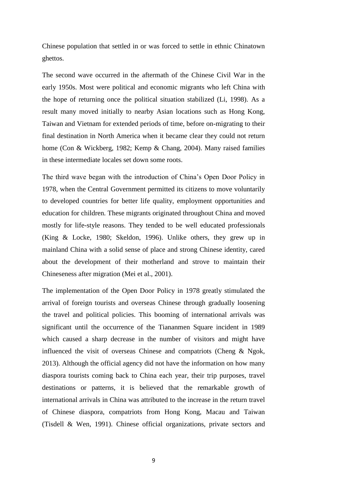Chinese population that settled in or was forced to settle in ethnic Chinatown ghettos.

The second wave occurred in the aftermath of the Chinese Civil War in the early 1950s. Most were political and economic migrants who left China with the hope of returning once the political situation stabilized (Li, 1998). As a result many moved initially to nearby Asian locations such as Hong Kong, Taiwan and Vietnam for extended periods of time, before on-migrating to their final destination in North America when it became clear they could not return home (Con & Wickberg, 1982; Kemp & Chang, 2004). Many raised families in these intermediate locales set down some roots.

The third wave began with the introduction of China's Open Door Policy in 1978, when the Central Government permitted its citizens to move voluntarily to developed countries for better life quality, employment opportunities and education for children. These migrants originated throughout China and moved mostly for life-style reasons. They tended to be well educated professionals (King & Locke, 1980; Skeldon, 1996). Unlike others, they grew up in mainland China with a solid sense of place and strong Chinese identity, cared about the development of their motherland and strove to maintain their Chineseness after migration (Mei et al., 2001).

The implementation of the Open Door Policy in 1978 greatly stimulated the arrival of foreign tourists and overseas Chinese through gradually loosening the travel and political policies. This booming of international arrivals was significant until the occurrence of the Tiananmen Square incident in 1989 which caused a sharp decrease in the number of visitors and might have influenced the visit of overseas Chinese and compatriots (Cheng & Ngok, 2013). Although the official agency did not have the information on how many diaspora tourists coming back to China each year, their trip purposes, travel destinations or patterns, it is believed that the remarkable growth of international arrivals in China was attributed to the increase in the return travel of Chinese diaspora, compatriots from Hong Kong, Macau and Taiwan (Tisdell & Wen, 1991). Chinese official organizations, private sectors and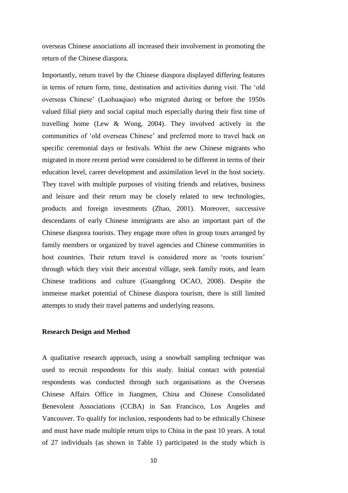overseas Chinese associations all increased their involvement in promoting the return of the Chinese diaspora.

Importantly, return travel by the Chinese diaspora displayed differing features in terms of return form, time, destination and activities during visit. The 'old overseas Chinese' (Laohuaqiao) who migrated during or before the 1950s valued filial piety and social capital much especially during their first time of travelling home (Lew & Wong, 2004). They involved actively in the communities of 'old overseas Chinese' and preferred more to travel back on specific ceremonial days or festivals. Whist the new Chinese migrants who migrated in more recent period were considered to be different in terms of their education level, career development and assimilation level in the host society. They travel with multiple purposes of visiting friends and relatives, business and leisure and their return may be closely related to new technologies, products and foreign investments (Zhao, 2001). Moreover, successive descendants of early Chinese immigrants are also an important part of the Chinese diaspora tourists. They engage more often in group tours arranged by family members or organized by travel agencies and Chinese communities in host countries. Their return travel is considered more as 'roots tourism' through which they visit their ancestral village, seek family roots, and learn Chinese traditions and culture (Guangdong OCAO, 2008). Despite the immense market potential of Chinese diaspora tourism, there is still limited attempts to study their travel patterns and underlying reasons.

#### **Research Design and Method**

A qualitative research approach, using a snowball sampling technique was used to recruit respondents for this study. Initial contact with potential respondents was conducted through such organisations as the Overseas Chinese Affairs Office in Jiangmen, China and Chinese Consolidated Benevolent Associations (CCBA) in San Francisco, Los Angeles and Vancouver. To qualify for inclusion, respondents had to be ethnically Chinese and must have made multiple return trips to China in the past 10 years. A total of 27 individuals (as shown in Table 1) participated in the study which is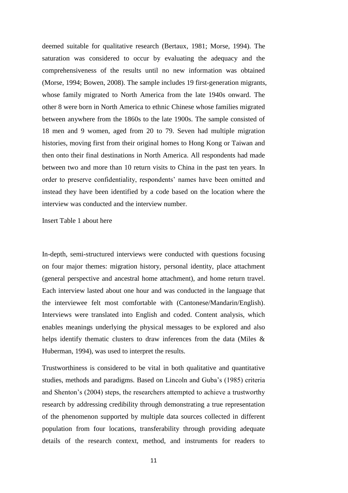deemed suitable for qualitative research (Bertaux, 1981; Morse, 1994). The saturation was considered to occur by evaluating the adequacy and the comprehensiveness of the results until no new information was obtained (Morse, 1994; Bowen, 2008). The sample includes 19 first-generation migrants, whose family migrated to North America from the late 1940s onward. The other 8 were born in North America to ethnic Chinese whose families migrated between anywhere from the 1860s to the late 1900s. The sample consisted of 18 men and 9 women, aged from 20 to 79. Seven had multiple migration histories, moving first from their original homes to Hong Kong or Taiwan and then onto their final destinations in North America. All respondents had made between two and more than 10 return visits to China in the past ten years. In order to preserve confidentiality, respondents' names have been omitted and instead they have been identified by a code based on the location where the interview was conducted and the interview number.

Insert Table 1 about here

In-depth, semi-structured interviews were conducted with questions focusing on four major themes: migration history, personal identity, place attachment (general perspective and ancestral home attachment), and home return travel. Each interview lasted about one hour and was conducted in the language that the interviewee felt most comfortable with (Cantonese/Mandarin/English). Interviews were translated into English and coded. Content analysis, which enables meanings underlying the physical messages to be explored and also helps identify thematic clusters to draw inferences from the data (Miles & Huberman, 1994), was used to interpret the results.

Trustworthiness is considered to be vital in both qualitative and quantitative studies, methods and paradigms. Based on Lincoln and Guba's (1985) criteria and Shenton's (2004) steps, the researchers attempted to achieve a trustworthy research by addressing credibility through demonstrating a true representation of the phenomenon supported by multiple data sources collected in different population from four locations, transferability through providing adequate details of the research context, method, and instruments for readers to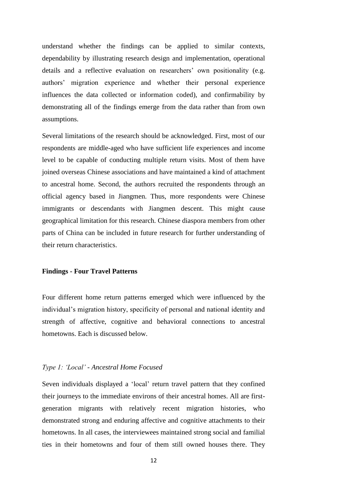understand whether the findings can be applied to similar contexts, dependability by illustrating research design and implementation, operational details and a reflective evaluation on researchers' own positionality (e.g. authors' migration experience and whether their personal experience influences the data collected or information coded), and confirmability by demonstrating all of the findings emerge from the data rather than from own assumptions.

Several limitations of the research should be acknowledged. First, most of our respondents are middle-aged who have sufficient life experiences and income level to be capable of conducting multiple return visits. Most of them have joined overseas Chinese associations and have maintained a kind of attachment to ancestral home. Second, the authors recruited the respondents through an official agency based in Jiangmen. Thus, more respondents were Chinese immigrants or descendants with Jiangmen descent. This might cause geographical limitation for this research. Chinese diaspora members from other parts of China can be included in future research for further understanding of their return characteristics.

#### **Findings - Four Travel Patterns**

Four different home return patterns emerged which were influenced by the individual's migration history, specificity of personal and national identity and strength of affective, cognitive and behavioral connections to ancestral hometowns. Each is discussed below.

#### *Type 1: 'Local' - Ancestral Home Focused*

Seven individuals displayed a 'local' return travel pattern that they confined their journeys to the immediate environs of their ancestral homes. All are firstgeneration migrants with relatively recent migration histories, who demonstrated strong and enduring affective and cognitive attachments to their hometowns. In all cases, the interviewees maintained strong social and familial ties in their hometowns and four of them still owned houses there. They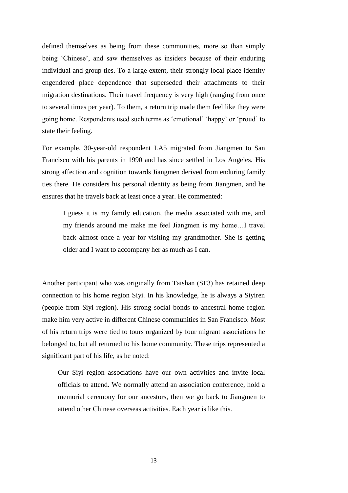defined themselves as being from these communities, more so than simply being 'Chinese', and saw themselves as insiders because of their enduring individual and group ties. To a large extent, their strongly local place identity engendered place dependence that superseded their attachments to their migration destinations. Their travel frequency is very high (ranging from once to several times per year). To them, a return trip made them feel like they were going home. Respondents used such terms as 'emotional' 'happy' or 'proud' to state their feeling.

For example, 30-year-old respondent LA5 migrated from Jiangmen to San Francisco with his parents in 1990 and has since settled in Los Angeles. His strong affection and cognition towards Jiangmen derived from enduring family ties there. He considers his personal identity as being from Jiangmen, and he ensures that he travels back at least once a year. He commented:

I guess it is my family education, the media associated with me, and my friends around me make me feel Jiangmen is my home…I travel back almost once a year for visiting my grandmother. She is getting older and I want to accompany her as much as I can.

Another participant who was originally from Taishan (SF3) has retained deep connection to his home region Siyi. In his knowledge, he is always a Siyiren (people from Siyi region). His strong social bonds to ancestral home region make him very active in different Chinese communities in San Francisco. Most of his return trips were tied to tours organized by four migrant associations he belonged to, but all returned to his home community. These trips represented a significant part of his life, as he noted:

Our Siyi region associations have our own activities and invite local officials to attend. We normally attend an association conference, hold a memorial ceremony for our ancestors, then we go back to Jiangmen to attend other Chinese overseas activities. Each year is like this.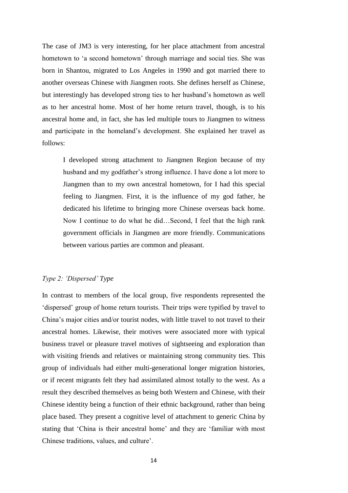The case of JM3 is very interesting, for her place attachment from ancestral hometown to 'a second hometown' through marriage and social ties. She was born in Shantou, migrated to Los Angeles in 1990 and got married there to another overseas Chinese with Jiangmen roots. She defines herself as Chinese, but interestingly has developed strong ties to her husband's hometown as well as to her ancestral home. Most of her home return travel, though, is to his ancestral home and, in fact, she has led multiple tours to Jiangmen to witness and participate in the homeland's development. She explained her travel as follows:

I developed strong attachment to Jiangmen Region because of my husband and my godfather's strong influence. I have done a lot more to Jiangmen than to my own ancestral hometown, for I had this special feeling to Jiangmen. First, it is the influence of my god father, he dedicated his lifetime to bringing more Chinese overseas back home. Now I continue to do what he did…Second, I feel that the high rank government officials in Jiangmen are more friendly. Communications between various parties are common and pleasant.

#### *Type 2: 'Dispersed' Type*

In contrast to members of the local group, five respondents represented the 'dispersed' group of home return tourists. Their trips were typified by travel to China's major cities and/or tourist nodes, with little travel to not travel to their ancestral homes. Likewise, their motives were associated more with typical business travel or pleasure travel motives of sightseeing and exploration than with visiting friends and relatives or maintaining strong community ties. This group of individuals had either multi-generational longer migration histories, or if recent migrants felt they had assimilated almost totally to the west. As a result they described themselves as being both Western and Chinese, with their Chinese identity being a function of their ethnic background, rather than being place based. They present a cognitive level of attachment to generic China by stating that 'China is their ancestral home' and they are 'familiar with most Chinese traditions, values, and culture'.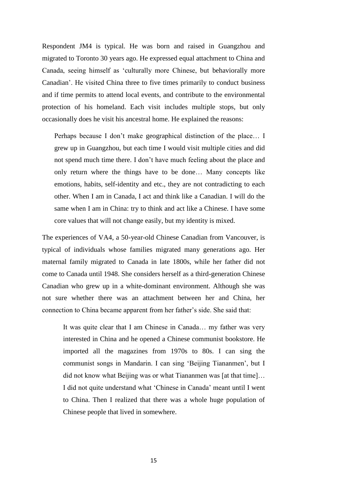Respondent JM4 is typical. He was born and raised in Guangzhou and migrated to Toronto 30 years ago. He expressed equal attachment to China and Canada, seeing himself as 'culturally more Chinese, but behaviorally more Canadian'. He visited China three to five times primarily to conduct business and if time permits to attend local events, and contribute to the environmental protection of his homeland. Each visit includes multiple stops, but only occasionally does he visit his ancestral home. He explained the reasons:

Perhaps because I don't make geographical distinction of the place… I grew up in Guangzhou, but each time I would visit multiple cities and did not spend much time there. I don't have much feeling about the place and only return where the things have to be done… Many concepts like emotions, habits, self-identity and etc., they are not contradicting to each other. When I am in Canada, I act and think like a Canadian. I will do the same when I am in China: try to think and act like a Chinese. I have some core values that will not change easily, but my identity is mixed.

The experiences of VA4, a 50-year-old Chinese Canadian from Vancouver, is typical of individuals whose families migrated many generations ago. Her maternal family migrated to Canada in late 1800s, while her father did not come to Canada until 1948. She considers herself as a third-generation Chinese Canadian who grew up in a white-dominant environment. Although she was not sure whether there was an attachment between her and China, her connection to China became apparent from her father's side. She said that:

It was quite clear that I am Chinese in Canada… my father was very interested in China and he opened a Chinese communist bookstore. He imported all the magazines from 1970s to 80s. I can sing the communist songs in Mandarin. I can sing 'Beijing Tiananmen', but I did not know what Beijing was or what Tiananmen was [at that time]… I did not quite understand what 'Chinese in Canada' meant until I went to China. Then I realized that there was a whole huge population of Chinese people that lived in somewhere.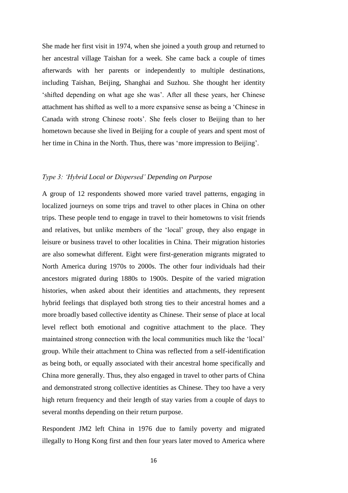She made her first visit in 1974, when she joined a youth group and returned to her ancestral village Taishan for a week. She came back a couple of times afterwards with her parents or independently to multiple destinations, including Taishan, Beijing, Shanghai and Suzhou. She thought her identity 'shifted depending on what age she was'. After all these years, her Chinese attachment has shifted as well to a more expansive sense as being a 'Chinese in Canada with strong Chinese roots'. She feels closer to Beijing than to her hometown because she lived in Beijing for a couple of years and spent most of her time in China in the North. Thus, there was 'more impression to Beijing'.

#### *Type 3: 'Hybrid Local or Dispersed' Depending on Purpose*

A group of 12 respondents showed more varied travel patterns, engaging in localized journeys on some trips and travel to other places in China on other trips. These people tend to engage in travel to their hometowns to visit friends and relatives, but unlike members of the 'local' group, they also engage in leisure or business travel to other localities in China. Their migration histories are also somewhat different. Eight were first-generation migrants migrated to North America during 1970s to 2000s. The other four individuals had their ancestors migrated during 1880s to 1900s. Despite of the varied migration histories, when asked about their identities and attachments, they represent hybrid feelings that displayed both strong ties to their ancestral homes and a more broadly based collective identity as Chinese. Their sense of place at local level reflect both emotional and cognitive attachment to the place. They maintained strong connection with the local communities much like the 'local' group. While their attachment to China was reflected from a self-identification as being both, or equally associated with their ancestral home specifically and China more generally. Thus, they also engaged in travel to other parts of China and demonstrated strong collective identities as Chinese. They too have a very high return frequency and their length of stay varies from a couple of days to several months depending on their return purpose.

Respondent JM2 left China in 1976 due to family poverty and migrated illegally to Hong Kong first and then four years later moved to America where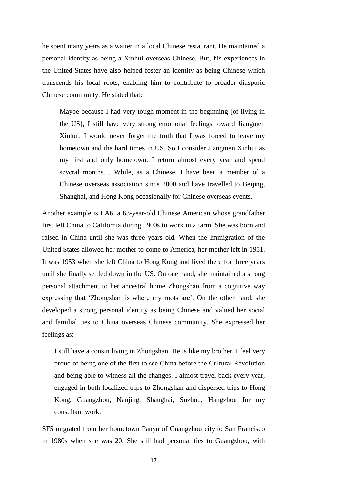he spent many years as a waiter in a local Chinese restaurant. He maintained a personal identity as being a Xinhui overseas Chinese. But, his experiences in the United States have also helped foster an identity as being Chinese which transcends his local roots, enabling him to contribute to broader diasporic Chinese community. He stated that:

Maybe because I had very tough moment in the beginning [of living in the US], I still have very strong emotional feelings toward Jiangmen Xinhui. I would never forget the truth that I was forced to leave my hometown and the hard times in US. So I consider Jiangmen Xinhui as my first and only hometown. I return almost every year and spend several months… While, as a Chinese, I have been a member of a Chinese overseas association since 2000 and have travelled to Beijing, Shanghai, and Hong Kong occasionally for Chinese overseas events.

Another example is LA6, a 63-year-old Chinese American whose grandfather first left China to California during 1900s to work in a farm. She was born and raised in China until she was three years old. When the Immigration of the United States allowed her mother to come to America, her mother left in 1951. It was 1953 when she left China to Hong Kong and lived there for three years until she finally settled down in the US. On one hand, she maintained a strong personal attachment to her ancestral home Zhongshan from a cognitive way expressing that 'Zhongshan is where my roots are'. On the other hand, she developed a strong personal identity as being Chinese and valued her social and familial ties to China overseas Chinese community. She expressed her feelings as:

I still have a cousin living in Zhongshan. He is like my brother. I feel very proud of being one of the first to see China before the Cultural Revolution and being able to witness all the changes. I almost travel back every year, engaged in both localized trips to Zhongshan and dispersed trips to Hong Kong, Guangzhou, Nanjing, Shanghai, Suzhou, Hangzhou for my consultant work.

SF5 migrated from her hometown Panyu of Guangzhou city to San Francisco in 1980s when she was 20. She still had personal ties to Guangzhou, with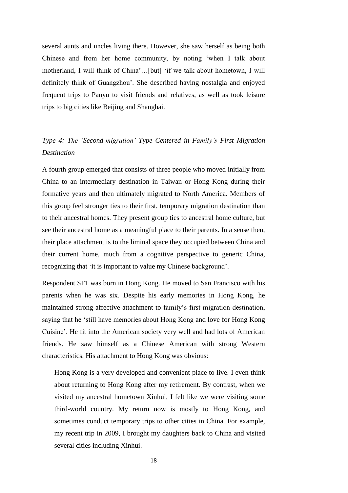several aunts and uncles living there. However, she saw herself as being both Chinese and from her home community, by noting 'when I talk about motherland, I will think of China'…[but] 'if we talk about hometown, I will definitely think of Guangzhou'. She described having nostalgia and enjoyed frequent trips to Panyu to visit friends and relatives, as well as took leisure trips to big cities like Beijing and Shanghai.

## *Type 4: The 'Second-migration' Type Centered in Family's First Migration Destination*

A fourth group emerged that consists of three people who moved initially from China to an intermediary destination in Taiwan or Hong Kong during their formative years and then ultimately migrated to North America. Members of this group feel stronger ties to their first, temporary migration destination than to their ancestral homes. They present group ties to ancestral home culture, but see their ancestral home as a meaningful place to their parents. In a sense then, their place attachment is to the liminal space they occupied between China and their current home, much from a cognitive perspective to generic China, recognizing that 'it is important to value my Chinese background'.

Respondent SF1 was born in Hong Kong. He moved to San Francisco with his parents when he was six. Despite his early memories in Hong Kong, he maintained strong affective attachment to family's first migration destination, saying that he 'still have memories about Hong Kong and love for Hong Kong Cuisine'. He fit into the American society very well and had lots of American friends. He saw himself as a Chinese American with strong Western characteristics. His attachment to Hong Kong was obvious:

Hong Kong is a very developed and convenient place to live. I even think about returning to Hong Kong after my retirement. By contrast, when we visited my ancestral hometown Xinhui, I felt like we were visiting some third-world country. My return now is mostly to Hong Kong, and sometimes conduct temporary trips to other cities in China. For example, my recent trip in 2009, I brought my daughters back to China and visited several cities including Xinhui.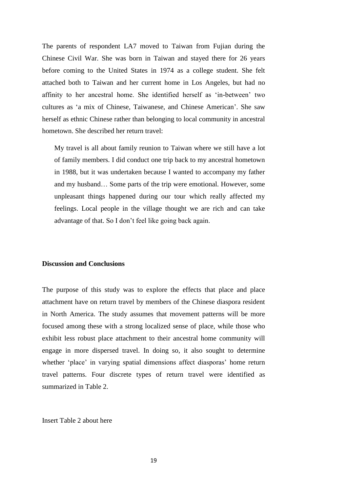The parents of respondent LA7 moved to Taiwan from Fujian during the Chinese Civil War. She was born in Taiwan and stayed there for 26 years before coming to the United States in 1974 as a college student. She felt attached both to Taiwan and her current home in Los Angeles, but had no affinity to her ancestral home. She identified herself as 'in-between' two cultures as 'a mix of Chinese, Taiwanese, and Chinese American'. She saw herself as ethnic Chinese rather than belonging to local community in ancestral hometown. She described her return travel:

My travel is all about family reunion to Taiwan where we still have a lot of family members. I did conduct one trip back to my ancestral hometown in 1988, but it was undertaken because I wanted to accompany my father and my husband… Some parts of the trip were emotional. However, some unpleasant things happened during our tour which really affected my feelings. Local people in the village thought we are rich and can take advantage of that. So I don't feel like going back again.

#### **Discussion and Conclusions**

The purpose of this study was to explore the effects that place and place attachment have on return travel by members of the Chinese diaspora resident in North America. The study assumes that movement patterns will be more focused among these with a strong localized sense of place, while those who exhibit less robust place attachment to their ancestral home community will engage in more dispersed travel. In doing so, it also sought to determine whether 'place' in varying spatial dimensions affect diasporas' home return travel patterns. Four discrete types of return travel were identified as summarized in Table 2.

Insert Table 2 about here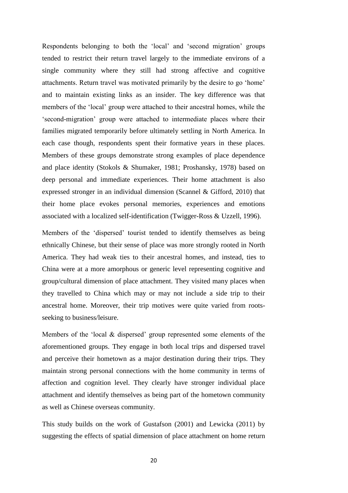Respondents belonging to both the 'local' and 'second migration' groups tended to restrict their return travel largely to the immediate environs of a single community where they still had strong affective and cognitive attachments. Return travel was motivated primarily by the desire to go 'home' and to maintain existing links as an insider. The key difference was that members of the 'local' group were attached to their ancestral homes, while the 'second-migration' group were attached to intermediate places where their families migrated temporarily before ultimately settling in North America. In each case though, respondents spent their formative years in these places. Members of these groups demonstrate strong examples of place dependence and place identity (Stokols & Shumaker, 1981; Proshansky, 1978) based on deep personal and immediate experiences. Their home attachment is also expressed stronger in an individual dimension (Scannel & Gifford, 2010) that their home place evokes personal memories, experiences and emotions associated with a localized self-identification (Twigger-Ross & Uzzell, 1996).

Members of the 'dispersed' tourist tended to identify themselves as being ethnically Chinese, but their sense of place was more strongly rooted in North America. They had weak ties to their ancestral homes, and instead, ties to China were at a more amorphous or generic level representing cognitive and group/cultural dimension of place attachment. They visited many places when they travelled to China which may or may not include a side trip to their ancestral home. Moreover, their trip motives were quite varied from rootsseeking to business/leisure.

Members of the 'local & dispersed' group represented some elements of the aforementioned groups. They engage in both local trips and dispersed travel and perceive their hometown as a major destination during their trips. They maintain strong personal connections with the home community in terms of affection and cognition level. They clearly have stronger individual place attachment and identify themselves as being part of the hometown community as well as Chinese overseas community.

This study builds on the work of Gustafson (2001) and Lewicka (2011) by suggesting the effects of spatial dimension of place attachment on home return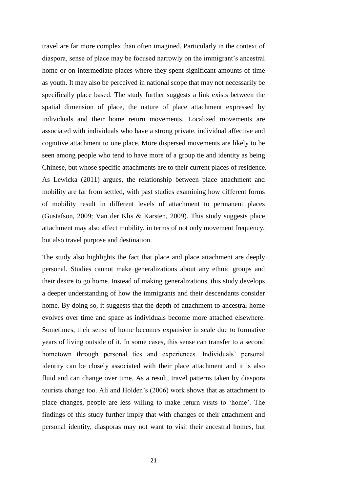travel are far more complex than often imagined. Particularly in the context of diaspora, sense of place may be focused narrowly on the immigrant's ancestral home or on intermediate places where they spent significant amounts of time as youth. It may also be perceived in national scope that may not necessarily be specifically place based. The study further suggests a link exists between the spatial dimension of place, the nature of place attachment expressed by individuals and their home return movements. Localized movements are associated with individuals who have a strong private, individual affective and cognitive attachment to one place. More dispersed movements are likely to be seen among people who tend to have more of a group tie and identity as being Chinese, but whose specific attachments are to their current places of residence. As Lewicka (2011) argues, the relationship between place attachment and mobility are far from settled, with past studies examining how different forms of mobility result in different levels of attachment to permanent places (Gustafson, 2009; Van der Klis & Karsten, 2009). This study suggests place attachment may also affect mobility, in terms of not only movement frequency, but also travel purpose and destination.

The study also highlights the fact that place and place attachment are deeply personal. Studies cannot make generalizations about any ethnic groups and their desire to go home. Instead of making generalizations, this study develops a deeper understanding of how the immigrants and their descendants consider home. By doing so, it suggests that the depth of attachment to ancestral home evolves over time and space as individuals become more attached elsewhere. Sometimes, their sense of home becomes expansive in scale due to formative years of living outside of it. In some cases, this sense can transfer to a second hometown through personal ties and experiences. Individuals' personal identity can be closely associated with their place attachment and it is also fluid and can change over time. As a result, travel patterns taken by diaspora tourists change too. Ali and Holden's (2006) work shows that as attachment to place changes, people are less willing to make return visits to 'home'. The findings of this study further imply that with changes of their attachment and personal identity, diasporas may not want to visit their ancestral homes, but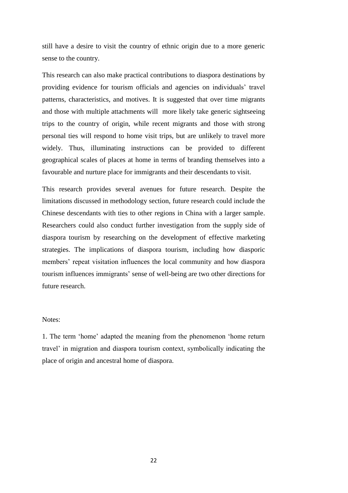still have a desire to visit the country of ethnic origin due to a more generic sense to the country.

This research can also make practical contributions to diaspora destinations by providing evidence for tourism officials and agencies on individuals' travel patterns, characteristics, and motives. It is suggested that over time migrants and those with multiple attachments will more likely take generic sightseeing trips to the country of origin, while recent migrants and those with strong personal ties will respond to home visit trips, but are unlikely to travel more widely. Thus, illuminating instructions can be provided to different geographical scales of places at home in terms of branding themselves into a favourable and nurture place for immigrants and their descendants to visit.

This research provides several avenues for future research. Despite the limitations discussed in methodology section, future research could include the Chinese descendants with ties to other regions in China with a larger sample. Researchers could also conduct further investigation from the supply side of diaspora tourism by researching on the development of effective marketing strategies. The implications of diaspora tourism, including how diasporic members' repeat visitation influences the local community and how diaspora tourism influences immigrants' sense of well-being are two other directions for future research.

#### Notes:

1. The term 'home' adapted the meaning from the phenomenon 'home return travel' in migration and diaspora tourism context, symbolically indicating the place of origin and ancestral home of diaspora.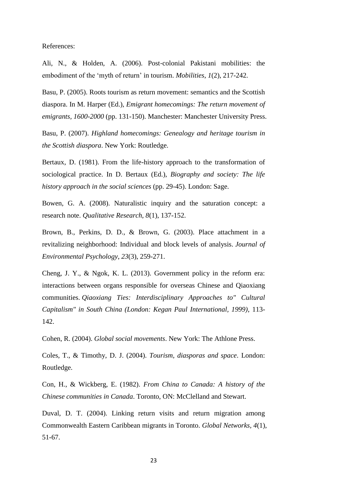References:

Ali, N., & Holden, A. (2006). Post‐colonial Pakistani mobilities: the embodiment of the 'myth of return' in tourism. *Mobilities*, *1*(2), 217-242.

Basu, P. (2005). Roots tourism as return movement: semantics and the Scottish diaspora. In M. Harper (Ed.), *Emigrant homecomings: The return movement of emigrants, 1600-2000* (pp. 131-150). Manchester: Manchester University Press.

Basu, P. (2007). *Highland homecomings: Genealogy and heritage tourism in the Scottish diaspora*. New York: Routledge.

Bertaux, D. (1981). From the life-history approach to the transformation of sociological practice. In D. Bertaux (Ed.), *Biography and society: The life history approach in the social sciences* (pp. 29-45). London: Sage.

Bowen, G. A. (2008). Naturalistic inquiry and the saturation concept: a research note. *Qualitative Research*, *8*(1), 137-152.

Brown, B., Perkins, D. D., & Brown, G. (2003). Place attachment in a revitalizing neighborhood: Individual and block levels of analysis. *Journal of Environmental Psychology*, *23*(3), 259-271.

Cheng, J. Y., & Ngok, K. L. (2013). Government policy in the reform era: interactions between organs responsible for overseas Chinese and Qiaoxiang communities. *Qiaoxiang Ties: Interdisciplinary Approaches to" Cultural Capitalism" in South China (London: Kegan Paul International, 1999)*, 113- 142.

Cohen, R. (2004). *Global social movements*. New York: The Athlone Press.

Coles, T., & Timothy, D. J. (2004). *Tourism, diasporas and space*. London: Routledge.

Con, H., & Wickberg, E. (1982). *From China to Canada: A history of the Chinese communities in Canada*. Toronto, ON: McClelland and Stewart.

Duval, D. T. (2004). Linking return visits and return migration among Commonwealth Eastern Caribbean migrants in Toronto. *Global Networks, 4*(1), 51-67.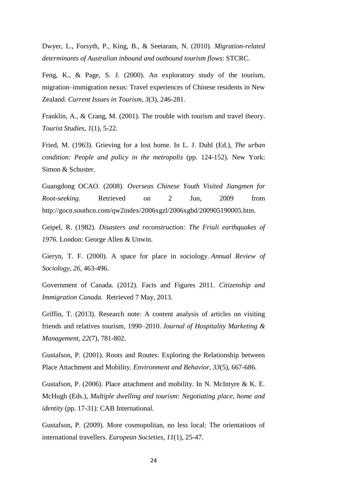Dwyer, L., Forsyth, P., King, B., & Seetaram, N. (2010). *Migration-related determinants of Australian inbound and outbound tourism flows*: STCRC.

Feng, K., & Page, S. J. (2000). An exploratory study of the tourism, migration–immigration nexus: Travel experiences of Chinese residents in New Zealand. *Current Issues in Tourism*, *3*(3), 246-281.

Franklin, A., & Crang, M. (2001). The trouble with tourism and travel theory. *Tourist Studies, 1*(1), 5-22.

Fried, M. (1963). Grieving for a lost home. In L. J. Duhl (Ed.), *The urban condition: People and policy in the metropolis* (pp. 124-152). New York: Simon & Schuster.

Guangdong OCAO. (2008). *Overseas Chinese Youth Visited Jiangmen for Root-seeking*. Retrieved on 2 Jun, 2009 from http://gocn.southcn.com/qw2index/2006xgzl/2006xgbd/200905190005.htm.

Geipel, R. (1982). *Disasters and reconstruction: The Friuli earthquakes of 1976.* London: George Allen & Unwin.

Gieryn, T. F. (2000). A space for place in sociology. *Annual Review of Sociology*, *26*, 463-496.

Government of Canada. (2012). Facts and Figures 2011. *Citizenship and Immigration Canada.* Retrieved 7 May, 2013.

Griffin, T. (2013). Research note: A content analysis of articles on visiting friends and relatives tourism, 1990–2010. *Journal of Hospitality Marketing & Management*, *22*(7), 781-802.

Gustafson, P. (2001). Roots and Routes: Exploring the Relationship between Place Attachment and Mobility. *Environment and Behavior, 33*(5), 667-686.

Gustafson, P. (2006). Place attachment and mobility. In N. McIntyre & K. E. McHugh (Eds.), *Multiple dwelling and tourism: Negotiating place, home and identity* (pp. 17-31): CAB International.

Gustafson, P. (2009). More cosmopolitan, no less local: The orientations of international travellers. *European Societies, 11*(1), 25-47.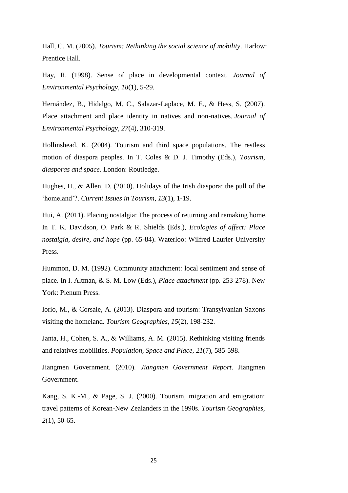Hall, C. M. (2005). *Tourism: Rethinking the social science of mobility*. Harlow: Prentice Hall.

Hay, R. (1998). Sense of place in developmental context. *Journal of Environmental Psychology, 18*(1), 5-29.

Hernández, B., Hidalgo, M. C., Salazar-Laplace, M. E., & Hess, S. (2007). Place attachment and place identity in natives and non-natives. *Journal of Environmental Psychology*, *27*(4), 310-319.

Hollinshead, K. (2004). Tourism and third space populations. The restless motion of diaspora peoples. In T. Coles & D. J. Timothy (Eds.), *Tourism, diasporas and space*. London: Routledge.

Hughes, H., & Allen, D. (2010). Holidays of the Irish diaspora: the pull of the 'homeland'?. *Current Issues in Tourism*, *13*(1), 1-19.

Hui, A. (2011). Placing nostalgia: The process of returning and remaking home. In T. K. Davidson, O. Park & R. Shields (Eds.), *Ecologies of affect: Place nostalgia, desire, and hope* (pp. 65-84). Waterloo: Wilfred Laurier University Press.

Hummon, D. M. (1992). Community attachment: local sentiment and sense of place. In I. Altman, & S. M. Low (Eds.), *Place attachment* (pp. 253-278). New York: Plenum Press.

Iorio, M., & Corsale, A. (2013). Diaspora and tourism: Transylvanian Saxons visiting the homeland. *Tourism Geographies, 15*(2), 198-232.

Janta, H., Cohen, S. A., & Williams, A. M. (2015). Rethinking visiting friends and relatives mobilities. *Population, Space and Place*, *21*(7), 585-598.

Jiangmen Government. (2010). *Jiangmen Government Report*. Jiangmen Government.

Kang, S. K.-M., & Page, S. J. (2000). Tourism, migration and emigration: travel patterns of Korean-New Zealanders in the 1990s. *Tourism Geographies, 2*(1), 50-65.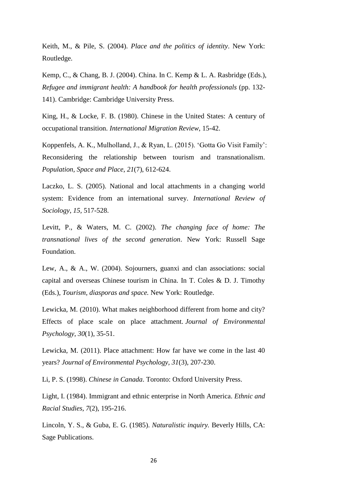Keith, M., & Pile, S. (2004). *Place and the politics of identity*. New York: Routledge.

Kemp, C., & Chang, B. J. (2004). China. In C. Kemp & L. A. Rasbridge (Eds.), *Refugee and immigrant health: A handbook for health professionals* (pp. 132- 141). Cambridge: Cambridge University Press.

King, H., & Locke, F. B. (1980). Chinese in the United States: A century of occupational transition. *International Migration Review*, 15-42.

Koppenfels, A. K., Mulholland, J., & Ryan, L. (2015). 'Gotta Go Visit Family': Reconsidering the relationship between tourism and transnationalism. *Population, Space and Place*, *21*(7), 612-624.

Laczko, L. S. (2005). National and local attachments in a changing world system: Evidence from an international survey. *International Review of Sociology*, *15,* 517-528.

Levitt, P., & Waters, M. C. (2002). *The changing face of home: The transnational lives of the second generation*. New York: Russell Sage Foundation.

Lew, A., & A., W. (2004). Sojourners, guanxi and clan associations: social capital and overseas Chinese tourism in China. In T. Coles & D. J. Timothy (Eds.), *Tourism, diasporas and space.* New York: Routledge.

Lewicka, M. (2010). What makes neighborhood different from home and city? Effects of place scale on place attachment. *Journal of Environmental Psychology*, *30*(1), 35-51.

Lewicka, M. (2011). Place attachment: How far have we come in the last 40 years? *Journal of Environmental Psychology, 31*(3), 207-230.

Li, P. S. (1998). *Chinese in Canada*. Toronto: Oxford University Press.

Light, I. (1984). Immigrant and ethnic enterprise in North America. *Ethnic and Racial Studies, 7*(2), 195-216.

Lincoln, Y. S., & Guba, E. G. (1985). *Naturalistic inquiry.* Beverly Hills, CA: Sage Publications.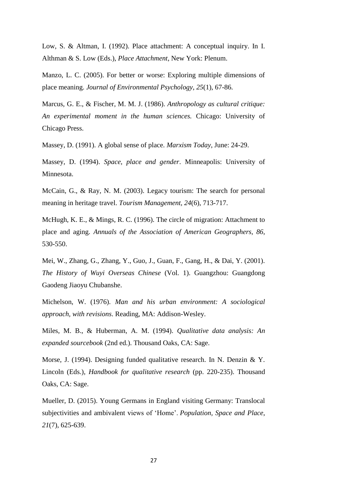Low, S. & Altman, I. (1992). Place attachment: A conceptual inquiry. In I. Althman & S. Low (Eds.), *Place Attachment*, New York: Plenum.

Manzo, L. C. (2005). For better or worse: Exploring multiple dimensions of place meaning. *Journal of Environmental Psychology*, *25*(1), 67-86.

Marcus, G. E., & Fischer, M. M. J. (1986). *Anthropology as cultural critique: An experimental moment in the human sciences.* Chicago: University of Chicago Press.

Massey, D. (1991). A global sense of place. *Marxism Today*, June: 24-29.

Massey, D. (1994). *Space, place and gender*. Minneapolis: University of Minnesota.

McCain, G., & Ray, N. M. (2003). Legacy tourism: The search for personal meaning in heritage travel. *Tourism Management, 24*(6), 713-717.

McHugh, K. E., & Mings, R. C. (1996). The circle of migration: Attachment to place and aging. *Annuals of the Association of American Geographers, 86*, 530-550.

Mei, W., Zhang, G., Zhang, Y., Guo, J., Guan, F., Gang, H., & Dai, Y. (2001). *The History of Wuyi Overseas Chinese* (Vol. 1). Guangzhou: Guangdong Gaodeng Jiaoyu Chubanshe.

Michelson, W. (1976). *Man and his urban environment: A sociological approach, with revisions*. Reading, MA: Addison-Wesley.

Miles, M. B., & Huberman, A. M. (1994). *Qualitative data analysis: An expanded sourcebook* (2nd ed.). Thousand Oaks, CA: Sage.

Morse, J. (1994). Designing funded qualitative research. In N. Denzin & Y. Lincoln (Eds.), *Handbook for qualitative research* (pp. 220-235). Thousand Oaks, CA: Sage.

Mueller, D. (2015). Young Germans in England visiting Germany: Translocal subjectivities and ambivalent views of 'Home'. *Population, Space and Place*, *21*(7), 625-639.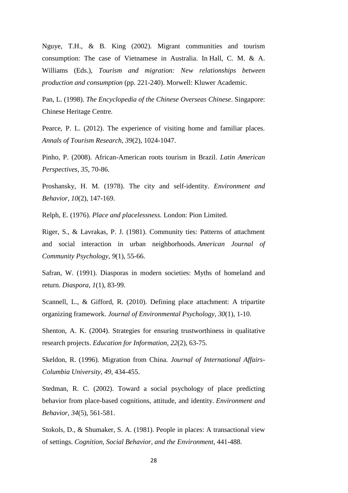Nguye, T.H., & B. King (2002). Migrant communities and tourism consumption: The case of Vietnamese in Australia. In Hall, C. M. & A. Williams (Eds.), *Tourism and migration: New relationships between production and consumption* (pp. 221-240). Morwell: Kluwer Academic.

Pan, L. (1998). *The Encyclopedia of the Chinese Overseas Chinese*. Singapore: Chinese Heritage Centre.

Pearce, P. L. (2012). The experience of visiting home and familiar places. *Annals of Tourism Research, 39*(2), 1024-1047.

Pinho, P. (2008). African-American roots tourism in Brazil. *Latin American Perspectives, 35*, 70-86.

Proshansky, H. M. (1978). The city and self-identity. *Environment and Behavior, 10*(2), 147-169.

Relph, E. (1976). *Place and placelessness*. London: Pion Limited.

Riger, S., & Lavrakas, P. J. (1981). Community ties: Patterns of attachment and social interaction in urban neighborhoods. *American Journal of Community Psychology*, *9*(1), 55-66.

Safran, W. (1991). Diasporas in modern societies: Myths of homeland and return. *Diaspora, 1*(1), 83-99.

Scannell, L., & Gifford, R. (2010). Defining place attachment: A tripartite organizing framework. *Journal of Environmental Psychology, 30*(1), 1-10.

Shenton, A. K. (2004). Strategies for ensuring trustworthiness in qualitative research projects. *Education for Information, 22*(2), 63-75.

Skeldon, R. (1996). Migration from China. *Journal of International Affairs-Columbia University, 49*, 434-455.

Stedman, R. C. (2002). Toward a social psychology of place predicting behavior from place-based cognitions, attitude, and identity. *Environment and Behavior*, *34*(5), 561-581.

Stokols, D., & Shumaker, S. A. (1981). People in places: A transactional view of settings. *Cognition, Social Behavior, and the Environment*, 441-488.